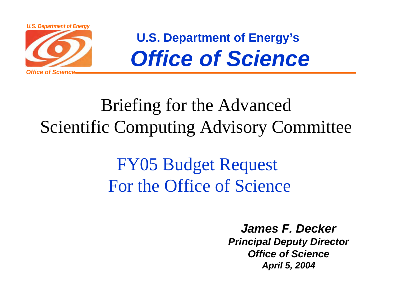

**U.S. Department of Energy's** *Office of Science*

## Briefing for the Advanced Scientific Computing Advisory Committee

## FY05 Budget Request For the Office of Science

*James F. Decker Principal Deputy Director Office of ScienceApril 5, 2004*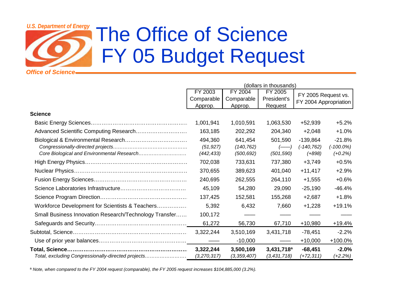### *Office of ScienceU.S. Department of Energy* The Office of Science FY 05 Budget Request

|                                                        | (dollars in thousands) |               |                        |                                              |              |
|--------------------------------------------------------|------------------------|---------------|------------------------|----------------------------------------------|--------------|
|                                                        | FY 2003                | FY 2004       | FY 2005                | FY 2005 Request vs.<br>FY 2004 Appropriation |              |
|                                                        | Comparable             | Comparable    | President's            |                                              |              |
|                                                        | Approp.                | Approp.       | <b>Request</b>         |                                              |              |
| <b>Science</b>                                         |                        |               |                        |                                              |              |
|                                                        | 1,001,941              | 1,010,591     | 1,063,530              | +52,939                                      | $+5.2%$      |
|                                                        | 163,185                | 202,292       | 204,340                | $+2,048$                                     | $+1.0%$      |
|                                                        | 494,360                | 641,454       | 501,590                | $-139,864$                                   | $-21.8%$     |
|                                                        | (51, 927)              | (140, 762)    |                        | $(-140, 762)$                                | $(-100.0\%)$ |
|                                                        | (442, 433)             | (500, 692)    | (501, 590)             | $(+898)$                                     | $(+0.2%)$    |
|                                                        | 702,038                | 733,631       | 737,380                | $+3,749$                                     | $+0.5%$      |
|                                                        | 370,655                | 389,623       | 401,040                | $+11,417$                                    | $+2.9%$      |
|                                                        | 240,695                | 262,555       | 264,110                | $+1,555$                                     | $+0.6%$      |
|                                                        | 45,109                 | 54,280        | 29,090                 | $-25,190$                                    | $-46.4%$     |
|                                                        | 137,425                | 152,581       | 155,268                | $+2,687$                                     | $+1.8%$      |
| Workforce Development for Scientists & Teachers        | 5,392                  | 6,432         | 7,660                  | $+1,228$                                     | $+19.1%$     |
| Small Business Innovation Research/Technology Transfer | 100,172                |               |                        |                                              |              |
|                                                        | 61,272                 | 56,730        | 67,710                 | $+10,980$                                    | +19.4%       |
|                                                        | 3,322,244              | 3,510,169     | 3,431,718              | $-78,451$                                    | $-2.2%$      |
|                                                        |                        | $-10,000$     |                        | $+10,000$                                    | +100.0%      |
|                                                        | 3.322,244              | 3,500,169     | 3,431,718 <sup>a</sup> | $-68,451$                                    | $-2.0%$      |
| Total, excluding Congressionally-directed projects     | (3,270,317)            | (3, 359, 407) | (3,431,718)            | $(+72,311)$                                  | $(+2.2%)$    |

ª *Note, when compared to the FY 2004 request (comparable), the FY 2005 request increases \$104,885,000 (3.2%).*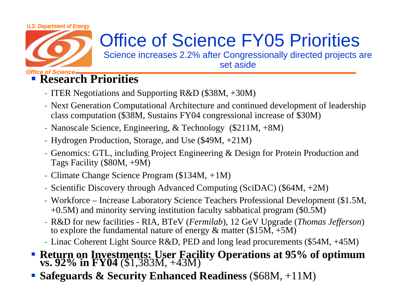#### *U.S. Department of Energy*



# Office of Science FY05 Priorities

Science increases 2.2% after Congressionally directed projects are set aside

### *Office of Science* **Research Priorities**

- ITER Negotiations and Supporting R&D (\$38M, +30M)
- Next Generation Computational Architecture and continued development of leadership class computation (\$38M, Sustains FY04 congressional increase of \$30M)
- Nanoscale Science, Engineering, & Technology (\$211M, +8M)
- Hydrogen Production, Storage, and Use (\$49M, +21M)
- Genomics: GTL, including Project Engineering & Design for Protein Production and Tags Facility (\$80M, +9M)
- Climate Change Science Program (\$134M, *+*1M)
- Scientific Discovery through Advanced Computing (SciDAC) (\$64M, +2M)
- Workforce Increase Laboratory Science Teachers Professional Development (\$1.5M, +0.5M) and minority serving institution faculty sabbatical program (\$0.5M)
- R&D for new facilities RIA, BTeV (*Fermilab*), 12 GeV Upgrade (*Thomas Jefferson*) to explore the fundamental nature of energy  $\&$  matter (\$15M, +5M)
- Linac Coherent Light Source R&D, PED and long lead procurements (\$54M, +45M)
- **Return on Investments: User Facility Operations at 95% of optimum vs. 92% in FY04** (\$1,383M, +43M)
- **Safeguards & Security Enhanced Readiness** (\$68M, +11M)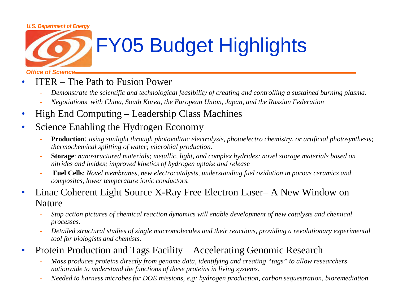#### *U.S. Department of Energy*



# FY05 Budget Highlights

*Office of Science*

- • ITER – The Path to Fusion Power
	- -*Demonstrate the scientific and technological feasibility of creating and controlling a sustained burning plasma.*
	- *Negotiations with China, South Korea, the European Union, Japan, and the Russian Federation*
- •High End Computing – Leadership Class Machines
- • Science Enabling the Hydrogen Economy
	- - **Production**: *using sunlight through photovoltaic electrolysis, photoelectro chemistry, or artificial photosynthesis; thermochemical splitting of water; microbial production.*
	- **Storage**: *nanostructured materials; metallic, light, and complex hydrides; novel storage materials based on nitrides and imides; improved kinetics of hydrogen uptake and release*
	- **Fuel Cells**: *Novel membranes, new electrocatalysts, understanding fuel oxidation in porous ceramics and composites, lower temperature ionic conductors.*
- • Linac Coherent Light Source X-Ray Free Electron Laser– A New Window on Nature
	- *Stop action pictures of chemical reaction dynamics will enable development of new catalysts and chemical processes.*
	- - *Detailed structural studies of single macromolecules and their reactions, providing a revolutionary experimental tool for biologists and chemists.*
- $\bullet$  Protein Production and Tags Facility – Accelerating Genomic Research
	- *Mass produces proteins directly from genome data, identifying and creating "tags" to allow researchers nationwide to understand the functions of these proteins in living systems.*
	- *Needed to harness microbes for DOE missions, e.g: hydrogen production, carbon sequestration, bioremediation*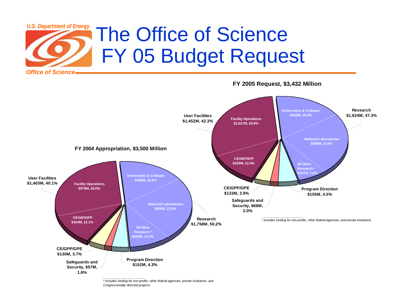



*\_\_\_\_\_\_\_\_\_\_\_\_\_\_\_\_\_\_\_\_\_\_\_\_ ² includes funding for non-profits, other federal agencies, private insitutions, and Congressionally-directed projects.*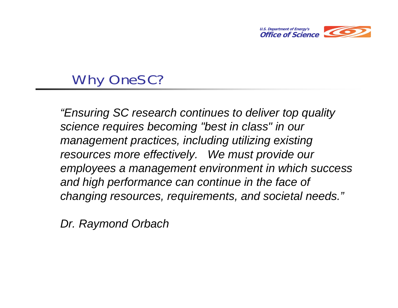

### Why OneSC?

*"Ensuring SC research continues to deliver top quality science requires becoming "best in class" in our management practices, including utilizing existing resources more effectively. We must provide our employees a management environment in which success and high performance can continue in the face of changing resources, requirements, and societal needs."*

*Dr. Raymond Orbach*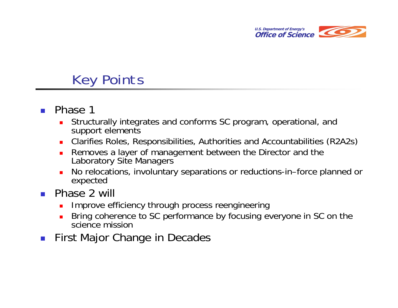

### Key Points

- $\sim$  Phase 1
	- $\mathbf{r}$  Structurally integrates and conforms SC program, operational, and support elements
	- Clarifies Roles, Responsibilities, Authorities and Accountabilities (R2A2s)
	- Removes a layer of management between the Director and the Laboratory Site Managers
	- No relocations, involuntary separations or reductions-in–force planned or expected
- Phase 2 will
	- Improve efficiency through process reengineering
	- Bring coherence to SC performance by focusing everyone in SC on the science mission
- $\mathcal{L}_{\mathcal{A}}$ First Major Change in Decades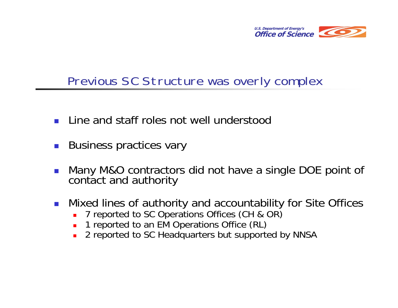

### Previous SC Structure was overly complex

- $\mathcal{L}^{\text{max}}$ Line and staff roles not well understood
- $\mathcal{L}(\mathcal{A})$ Business practices vary
- $\mathcal{L}_{\mathcal{A}}$ Many M&O contractors did not have a single DOE point of contact and authority
- $\mathcal{L}^{\text{max}}_{\text{max}}$  Mixed lines of authority and accountability for Site Offices
	- П 7 reported to SC Operations Offices (CH & OR)
	- **1** reported to an EM Operations Office (RL)
	- $\blacksquare$ 2 reported to SC Headquarters but supported by NNSA